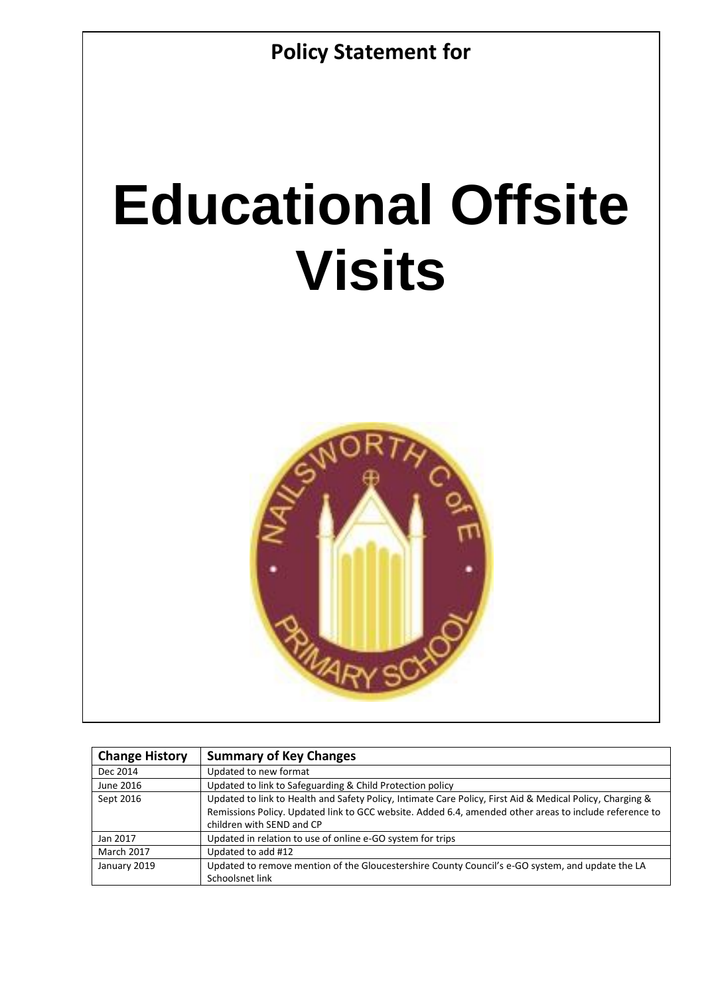

# **Educational Offsite Visits**



| <b>Change History</b> | <b>Summary of Key Changes</b>                                                                                                                                                                                                                    |
|-----------------------|--------------------------------------------------------------------------------------------------------------------------------------------------------------------------------------------------------------------------------------------------|
| Dec 2014              | Updated to new format                                                                                                                                                                                                                            |
| June 2016             | Updated to link to Safeguarding & Child Protection policy                                                                                                                                                                                        |
| Sept 2016             | Updated to link to Health and Safety Policy, Intimate Care Policy, First Aid & Medical Policy, Charging &<br>Remissions Policy. Updated link to GCC website. Added 6.4, amended other areas to include reference to<br>children with SEND and CP |
| Jan 2017              | Updated in relation to use of online e-GO system for trips                                                                                                                                                                                       |
| <b>March 2017</b>     | Updated to add #12                                                                                                                                                                                                                               |
| January 2019          | Updated to remove mention of the Gloucestershire County Council's e-GO system, and update the LA<br>Schoolsnet link                                                                                                                              |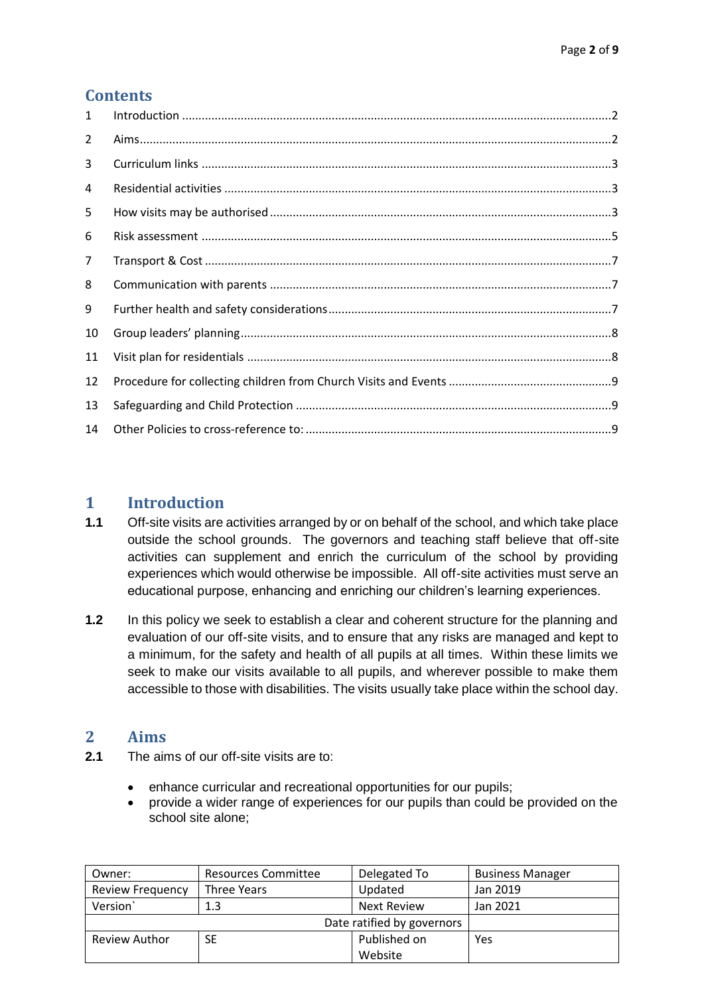# **Contents**

| 1  |  |
|----|--|
| 2  |  |
| 3  |  |
| 4  |  |
| 5  |  |
| 6  |  |
| 7  |  |
| 8  |  |
| 9  |  |
| 10 |  |
| 11 |  |
| 12 |  |
| 13 |  |
| 14 |  |

### <span id="page-1-0"></span>**1 Introduction**

- **1.1** Off-site visits are activities arranged by or on behalf of the school, and which take place outside the school grounds. The governors and teaching staff believe that off-site activities can supplement and enrich the curriculum of the school by providing experiences which would otherwise be impossible. All off-site activities must serve an educational purpose, enhancing and enriching our children's learning experiences.
- **1.2** In this policy we seek to establish a clear and coherent structure for the planning and evaluation of our off-site visits, and to ensure that any risks are managed and kept to a minimum, for the safety and health of all pupils at all times. Within these limits we seek to make our visits available to all pupils, and wherever possible to make them accessible to those with disabilities. The visits usually take place within the school day.

#### <span id="page-1-1"></span>**2 Aims**

- **2.1** The aims of our off-site visits are to:
	- enhance curricular and recreational opportunities for our pupils;
	- provide a wider range of experiences for our pupils than could be provided on the school site alone;

| Owner:                     | Resources Committee | Delegated To       | <b>Business Manager</b> |
|----------------------------|---------------------|--------------------|-------------------------|
| <b>Review Frequency</b>    | Three Years         | Updated            | Jan 2019                |
| Version <sup>'</sup>       | 1.3                 | <b>Next Review</b> | Jan 2021                |
| Date ratified by governors |                     |                    |                         |
| <b>Review Author</b>       | SE                  | Published on       | Yes                     |
|                            |                     | Website            |                         |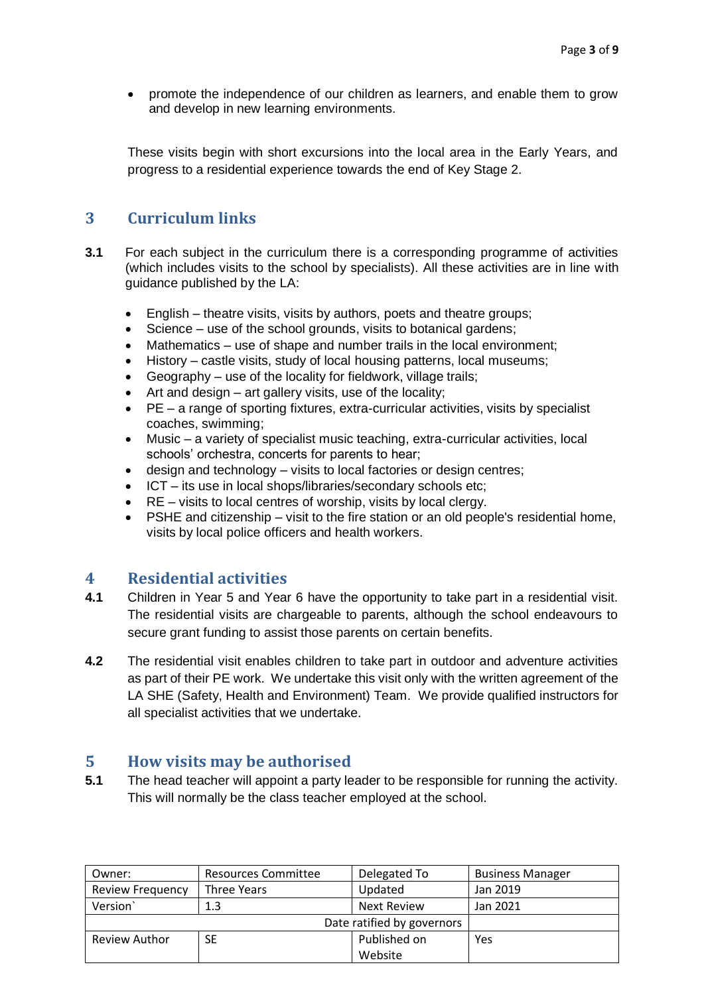• promote the independence of our children as learners, and enable them to grow and develop in new learning environments.

These visits begin with short excursions into the local area in the Early Years, and progress to a residential experience towards the end of Key Stage 2.

# <span id="page-2-0"></span>**3 Curriculum links**

- **3.1** For each subject in the curriculum there is a corresponding programme of activities (which includes visits to the school by specialists). All these activities are in line with guidance published by the LA:
	- English theatre visits, visits by authors, poets and theatre groups;
	- Science use of the school grounds, visits to botanical gardens;
	- Mathematics use of shape and number trails in the local environment:
	- History castle visits, study of local housing patterns, local museums;
	- Geography use of the locality for fieldwork, village trails;
	- Art and design art gallery visits, use of the locality;
	- PE a range of sporting fixtures, extra-curricular activities, visits by specialist coaches, swimming;
	- Music a variety of specialist music teaching, extra-curricular activities, local schools' orchestra, concerts for parents to hear;
	- design and technology visits to local factories or design centres;
	- ICT its use in local shops/libraries/secondary schools etc;
	- RE visits to local centres of worship, visits by local clergy.
	- PSHE and citizenship visit to the fire station or an old people's residential home, visits by local police officers and health workers.

## <span id="page-2-1"></span>**4 Residential activities**

- **4.1** Children in Year 5 and Year 6 have the opportunity to take part in a residential visit. The residential visits are chargeable to parents, although the school endeavours to secure grant funding to assist those parents on certain benefits.
- **4.2** The residential visit enables children to take part in outdoor and adventure activities as part of their PE work. We undertake this visit only with the written agreement of the LA SHE (Safety, Health and Environment) Team. We provide qualified instructors for all specialist activities that we undertake.

#### <span id="page-2-2"></span>**5 How visits may be authorised**

**5.1** The head teacher will appoint a party leader to be responsible for running the activity. This will normally be the class teacher employed at the school.

| Owner:                     | Resources Committee | Delegated To | <b>Business Manager</b> |
|----------------------------|---------------------|--------------|-------------------------|
| <b>Review Frequency</b>    | Three Years         | Updated      | Jan 2019                |
| Version                    | 1.3                 | Next Review  | Jan 2021                |
| Date ratified by governors |                     |              |                         |
| <b>Review Author</b>       | SE                  | Published on | Yes                     |
|                            |                     | Website      |                         |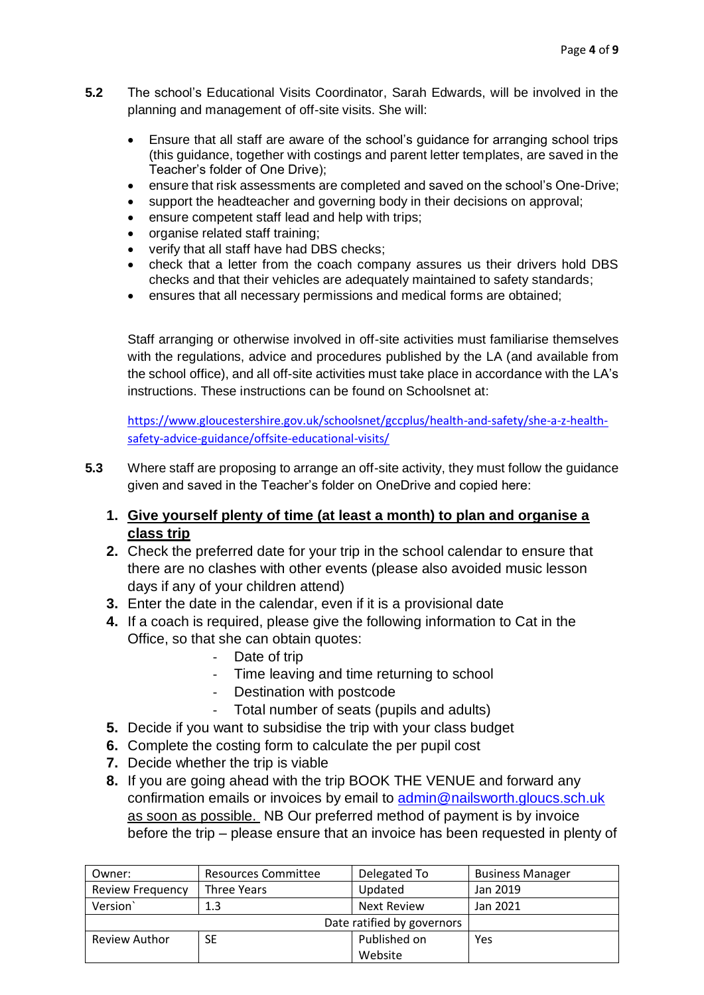- **5.2** The school's Educational Visits Coordinator, Sarah Edwards, will be involved in the planning and management of off-site visits. She will:
	- Ensure that all staff are aware of the school's guidance for arranging school trips (this guidance, together with costings and parent letter templates, are saved in the Teacher's folder of One Drive);
	- ensure that risk assessments are completed and saved on the school's One-Drive;
	- support the headteacher and governing body in their decisions on approval;
	- ensure competent staff lead and help with trips:
	- organise related staff training;
	- verify that all staff have had DBS checks;
	- check that a letter from the coach company assures us their drivers hold DBS checks and that their vehicles are adequately maintained to safety standards;
	- ensures that all necessary permissions and medical forms are obtained;

Staff arranging or otherwise involved in off-site activities must familiarise themselves with the regulations, advice and procedures published by the LA (and available from the school office), and all off-site activities must take place in accordance with the LA's instructions. These instructions can be found on Schoolsnet at:

[https://www.gloucestershire.gov.uk/schoolsnet/gccplus/health-and-safety/she-a-z-health](https://www.gloucestershire.gov.uk/schoolsnet/gccplus/health-and-safety/she-a-z-health-safety-advice-guidance/offsite-educational-visits/)[safety-advice-guidance/offsite-educational-visits/](https://www.gloucestershire.gov.uk/schoolsnet/gccplus/health-and-safety/she-a-z-health-safety-advice-guidance/offsite-educational-visits/)

- **5.3** Where staff are proposing to arrange an off-site activity, they must follow the guidance given and saved in the Teacher's folder on OneDrive and copied here:
	- **1. Give yourself plenty of time (at least a month) to plan and organise a class trip**
	- **2.** Check the preferred date for your trip in the school calendar to ensure that there are no clashes with other events (please also avoided music lesson days if any of your children attend)
	- **3.** Enter the date in the calendar, even if it is a provisional date
	- **4.** If a coach is required, please give the following information to Cat in the Office, so that she can obtain quotes:
		- Date of trip
		- Time leaving and time returning to school
		- Destination with postcode
		- Total number of seats (pupils and adults)
	- **5.** Decide if you want to subsidise the trip with your class budget
	- **6.** Complete the costing form to calculate the per pupil cost
	- **7.** Decide whether the trip is viable
	- **8.** If you are going ahead with the trip BOOK THE VENUE and forward any confirmation emails or invoices by email to [admin@nailsworth.gloucs.sch.uk](mailto:admin@nailsworth.gloucs.sch.uk)  as soon as possible. NB Our preferred method of payment is by invoice before the trip – please ensure that an invoice has been requested in plenty of

| Owner:                     | Resources Committee | Delegated To | <b>Business Manager</b> |
|----------------------------|---------------------|--------------|-------------------------|
| <b>Review Frequency</b>    | Three Years         | Updated      | Jan 2019                |
| Version                    | 1.3                 | Next Review  | Jan 2021                |
| Date ratified by governors |                     |              |                         |
| Review Author              | SE                  | Published on | Yes                     |
|                            |                     | Website      |                         |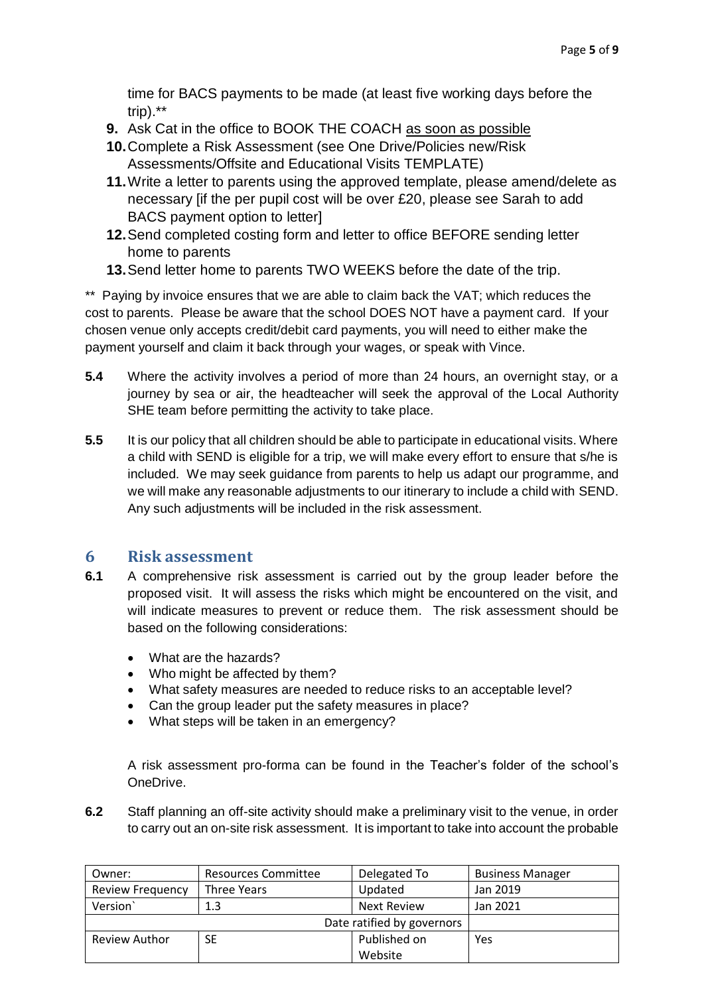time for BACS payments to be made (at least five working days before the trip).\*\*

- **9.** Ask Cat in the office to BOOK THE COACH as soon as possible
- **10.**Complete a Risk Assessment (see One Drive/Policies new/Risk Assessments/Offsite and Educational Visits TEMPLATE)
- **11.**Write a letter to parents using the approved template, please amend/delete as necessary [if the per pupil cost will be over £20, please see Sarah to add BACS payment option to letter]
- **12.**Send completed costing form and letter to office BEFORE sending letter home to parents
- **13.**Send letter home to parents TWO WEEKS before the date of the trip.

\*\* Paying by invoice ensures that we are able to claim back the VAT; which reduces the cost to parents. Please be aware that the school DOES NOT have a payment card. If your chosen venue only accepts credit/debit card payments, you will need to either make the payment yourself and claim it back through your wages, or speak with Vince.

- **5.4** Where the activity involves a period of more than 24 hours, an overnight stay, or a journey by sea or air, the headteacher will seek the approval of the Local Authority SHE team before permitting the activity to take place.
- **5.5** It is our policy that all children should be able to participate in educational visits. Where a child with SEND is eligible for a trip, we will make every effort to ensure that s/he is included. We may seek guidance from parents to help us adapt our programme, and we will make any reasonable adjustments to our itinerary to include a child with SEND. Any such adjustments will be included in the risk assessment.

#### <span id="page-4-0"></span>**6 Risk assessment**

- **6.1** A comprehensive risk assessment is carried out by the group leader before the proposed visit. It will assess the risks which might be encountered on the visit, and will indicate measures to prevent or reduce them. The risk assessment should be based on the following considerations:
	- What are the hazards?
	- Who might be affected by them?
	- What safety measures are needed to reduce risks to an acceptable level?
	- Can the group leader put the safety measures in place?
	- What steps will be taken in an emergency?

A risk assessment pro-forma can be found in the Teacher's folder of the school's OneDrive.

**6.2** Staff planning an off-site activity should make a preliminary visit to the venue, in order to carry out an on-site risk assessment. It is important to take into account the probable

| Owner:                     | Resources Committee | Delegated To       | <b>Business Manager</b> |
|----------------------------|---------------------|--------------------|-------------------------|
| Review Frequency           | Three Years         | Updated            | Jan 2019                |
| Version                    | 1.3                 | <b>Next Review</b> | Jan 2021                |
| Date ratified by governors |                     |                    |                         |
| <b>Review Author</b>       | SE                  | Published on       | Yes                     |
|                            |                     | Website            |                         |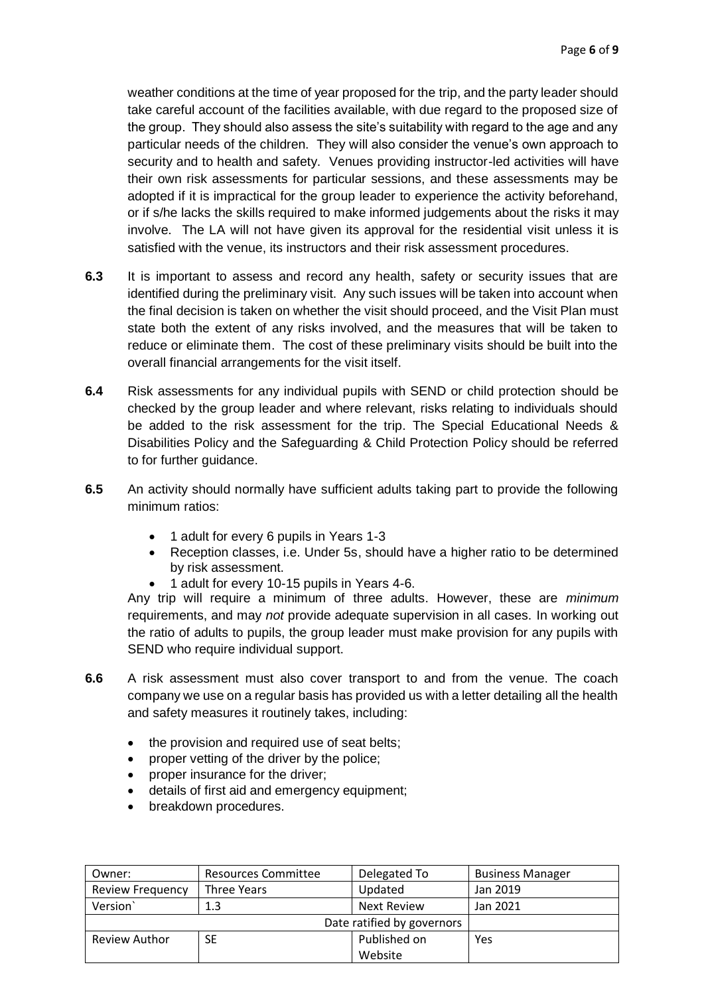weather conditions at the time of year proposed for the trip, and the party leader should take careful account of the facilities available, with due regard to the proposed size of the group. They should also assess the site's suitability with regard to the age and any particular needs of the children. They will also consider the venue's own approach to security and to health and safety. Venues providing instructor-led activities will have their own risk assessments for particular sessions, and these assessments may be adopted if it is impractical for the group leader to experience the activity beforehand, or if s/he lacks the skills required to make informed judgements about the risks it may involve. The LA will not have given its approval for the residential visit unless it is satisfied with the venue, its instructors and their risk assessment procedures.

- **6.3** It is important to assess and record any health, safety or security issues that are identified during the preliminary visit. Any such issues will be taken into account when the final decision is taken on whether the visit should proceed, and the Visit Plan must state both the extent of any risks involved, and the measures that will be taken to reduce or eliminate them. The cost of these preliminary visits should be built into the overall financial arrangements for the visit itself.
- **6.4** Risk assessments for any individual pupils with SEND or child protection should be checked by the group leader and where relevant, risks relating to individuals should be added to the risk assessment for the trip. The Special Educational Needs & Disabilities Policy and the Safeguarding & Child Protection Policy should be referred to for further guidance.
- **6.5** An activity should normally have sufficient adults taking part to provide the following minimum ratios:
	- 1 adult for every 6 pupils in Years 1-3
	- Reception classes, i.e. Under 5s, should have a higher ratio to be determined by risk assessment.
	- 1 adult for every 10-15 pupils in Years 4-6.

Any trip will require a minimum of three adults. However, these are *minimum* requirements, and may *not* provide adequate supervision in all cases. In working out the ratio of adults to pupils, the group leader must make provision for any pupils with SEND who require individual support.

- **6.6** A risk assessment must also cover transport to and from the venue. The coach company we use on a regular basis has provided us with a letter detailing all the health and safety measures it routinely takes, including:
	- the provision and required use of seat belts;
	- proper vetting of the driver by the police;
	- proper insurance for the driver;
	- details of first aid and emergency equipment;
	- breakdown procedures.

| Owner:                     | <b>Resources Committee</b> | Delegated To       | <b>Business Manager</b> |
|----------------------------|----------------------------|--------------------|-------------------------|
| <b>Review Frequency</b>    | Three Years                | Updated            | Jan 2019                |
| Version                    | 1.3                        | <b>Next Review</b> | Jan 2021                |
| Date ratified by governors |                            |                    |                         |
| Review Author              | SE                         | Published on       | Yes                     |
|                            |                            | Website            |                         |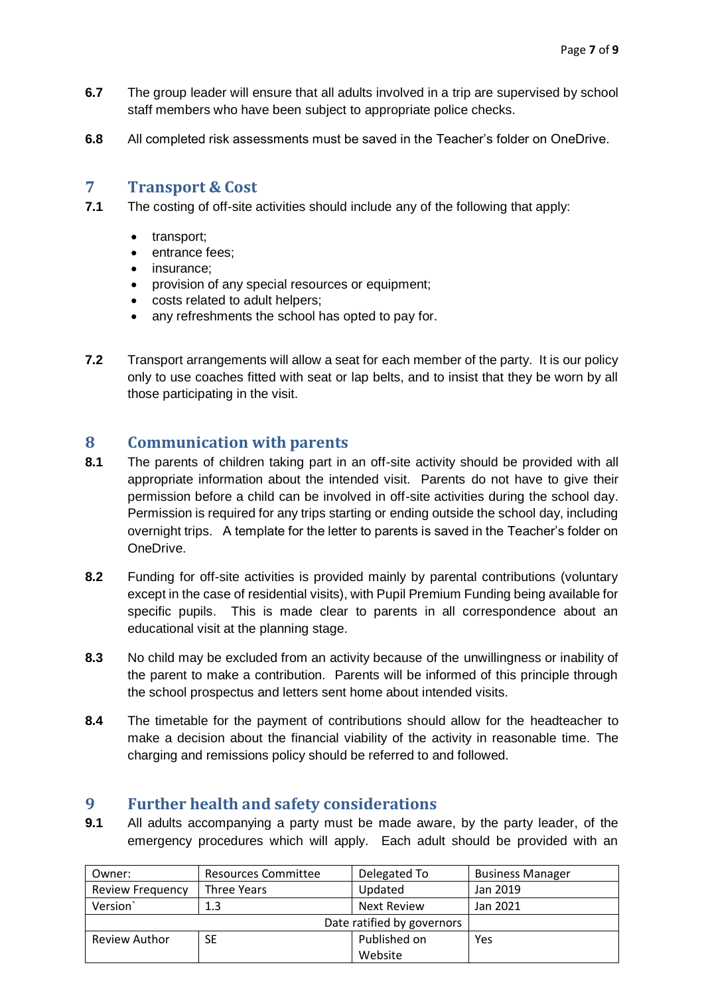- **6.7** The group leader will ensure that all adults involved in a trip are supervised by school staff members who have been subject to appropriate police checks.
- **6.8** All completed risk assessments must be saved in the Teacher's folder on OneDrive.

#### <span id="page-6-0"></span>**7 Transport & Cost**

- **7.1** The costing of off-site activities should include any of the following that apply:
	- transport;
	- entrance fees;
	- insurance:
	- provision of any special resources or equipment;
	- costs related to adult helpers;
	- any refreshments the school has opted to pay for.
- **7.2** Transport arrangements will allow a seat for each member of the party. It is our policy only to use coaches fitted with seat or lap belts, and to insist that they be worn by all those participating in the visit.

#### <span id="page-6-1"></span>**8 Communication with parents**

- **8.1** The parents of children taking part in an off-site activity should be provided with all appropriate information about the intended visit. Parents do not have to give their permission before a child can be involved in off-site activities during the school day. Permission is required for any trips starting or ending outside the school day, including overnight trips. A template for the letter to parents is saved in the Teacher's folder on OneDrive.
- **8.2** Funding for off-site activities is provided mainly by parental contributions (voluntary except in the case of residential visits), with Pupil Premium Funding being available for specific pupils. This is made clear to parents in all correspondence about an educational visit at the planning stage.
- **8.3** No child may be excluded from an activity because of the unwillingness or inability of the parent to make a contribution. Parents will be informed of this principle through the school prospectus and letters sent home about intended visits.
- **8.4** The timetable for the payment of contributions should allow for the headteacher to make a decision about the financial viability of the activity in reasonable time. The charging and remissions policy should be referred to and followed.

#### <span id="page-6-2"></span>**9 Further health and safety considerations**

**9.1** All adults accompanying a party must be made aware, by the party leader, of the emergency procedures which will apply. Each adult should be provided with an

| Owner:                     | Resources Committee | Delegated To       | <b>Business Manager</b> |
|----------------------------|---------------------|--------------------|-------------------------|
| <b>Review Frequency</b>    | Three Years         | Updated            | Jan 2019                |
| Version                    | 1.3                 | <b>Next Review</b> | Jan 2021                |
| Date ratified by governors |                     |                    |                         |
| <b>Review Author</b>       | <b>SE</b>           | Published on       | Yes                     |
|                            |                     | Website            |                         |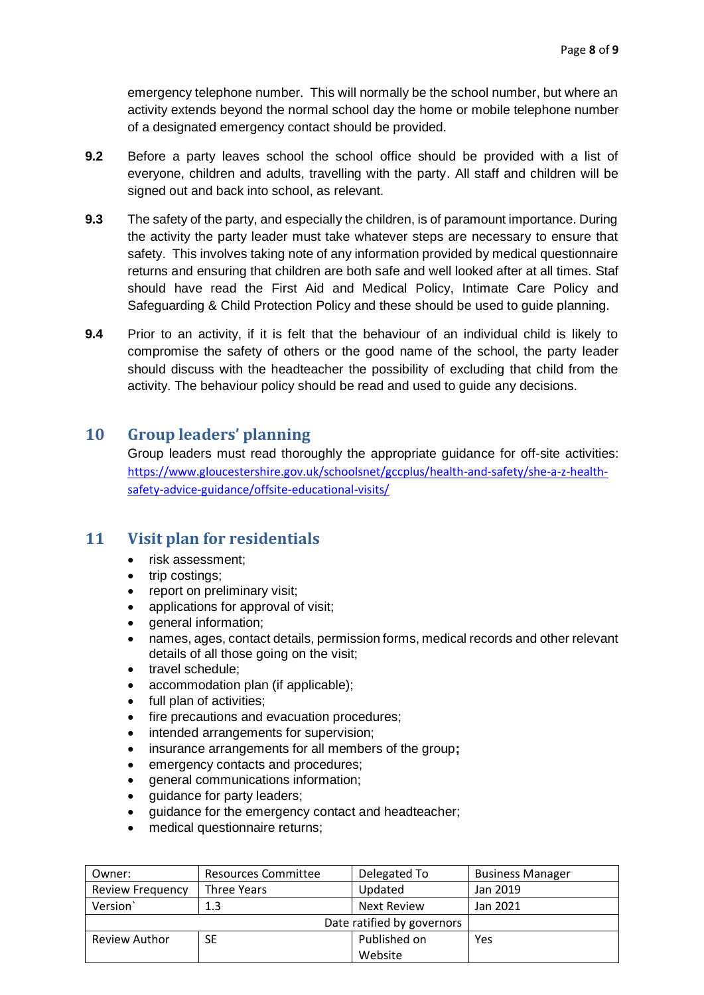emergency telephone number. This will normally be the school number, but where an activity extends beyond the normal school day the home or mobile telephone number of a designated emergency contact should be provided.

- **9.2** Before a party leaves school the school office should be provided with a list of everyone, children and adults, travelling with the party. All staff and children will be signed out and back into school, as relevant.
- **9.3** The safety of the party, and especially the children, is of paramount importance. During the activity the party leader must take whatever steps are necessary to ensure that safety. This involves taking note of any information provided by medical questionnaire returns and ensuring that children are both safe and well looked after at all times. Staf should have read the First Aid and Medical Policy, Intimate Care Policy and Safeguarding & Child Protection Policy and these should be used to guide planning.
- **9.4** Prior to an activity, if it is felt that the behaviour of an individual child is likely to compromise the safety of others or the good name of the school, the party leader should discuss with the headteacher the possibility of excluding that child from the activity. The behaviour policy should be read and used to guide any decisions.

#### <span id="page-7-0"></span>**10 Group leaders' planning**

Group leaders must read thoroughly the appropriate guidance for off-site activities: [https://www.gloucestershire.gov.uk/schoolsnet/gccplus/health-and-safety/she-a-z-health](https://www.gloucestershire.gov.uk/schoolsnet/gccplus/health-and-safety/she-a-z-health-safety-advice-guidance/offsite-educational-visits/)[safety-advice-guidance/offsite-educational-visits/](https://www.gloucestershire.gov.uk/schoolsnet/gccplus/health-and-safety/she-a-z-health-safety-advice-guidance/offsite-educational-visits/)

#### <span id="page-7-1"></span>**11 Visit plan for residentials**

- risk assessment;
- trip costings;
- report on preliminary visit;
- applications for approval of visit;
- general information;
- names, ages, contact details, permission forms, medical records and other relevant details of all those going on the visit;
- travel schedule:
- accommodation plan (if applicable);
- full plan of activities;
- fire precautions and evacuation procedures;
- intended arrangements for supervision;
- insurance arrangements for all members of the group**;**
- emergency contacts and procedures;
- general communications information;
- quidance for party leaders;
- guidance for the emergency contact and headteacher;
- medical questionnaire returns;

| Owner:                     | Resources Committee | Delegated To | <b>Business Manager</b> |
|----------------------------|---------------------|--------------|-------------------------|
| <b>Review Frequency</b>    | Three Years         | Updated      | Jan 2019                |
| Version                    | 1.3                 | Next Review  | Jan 2021                |
| Date ratified by governors |                     |              |                         |
| Review Author              | SE                  | Published on | Yes                     |
|                            |                     | Website      |                         |